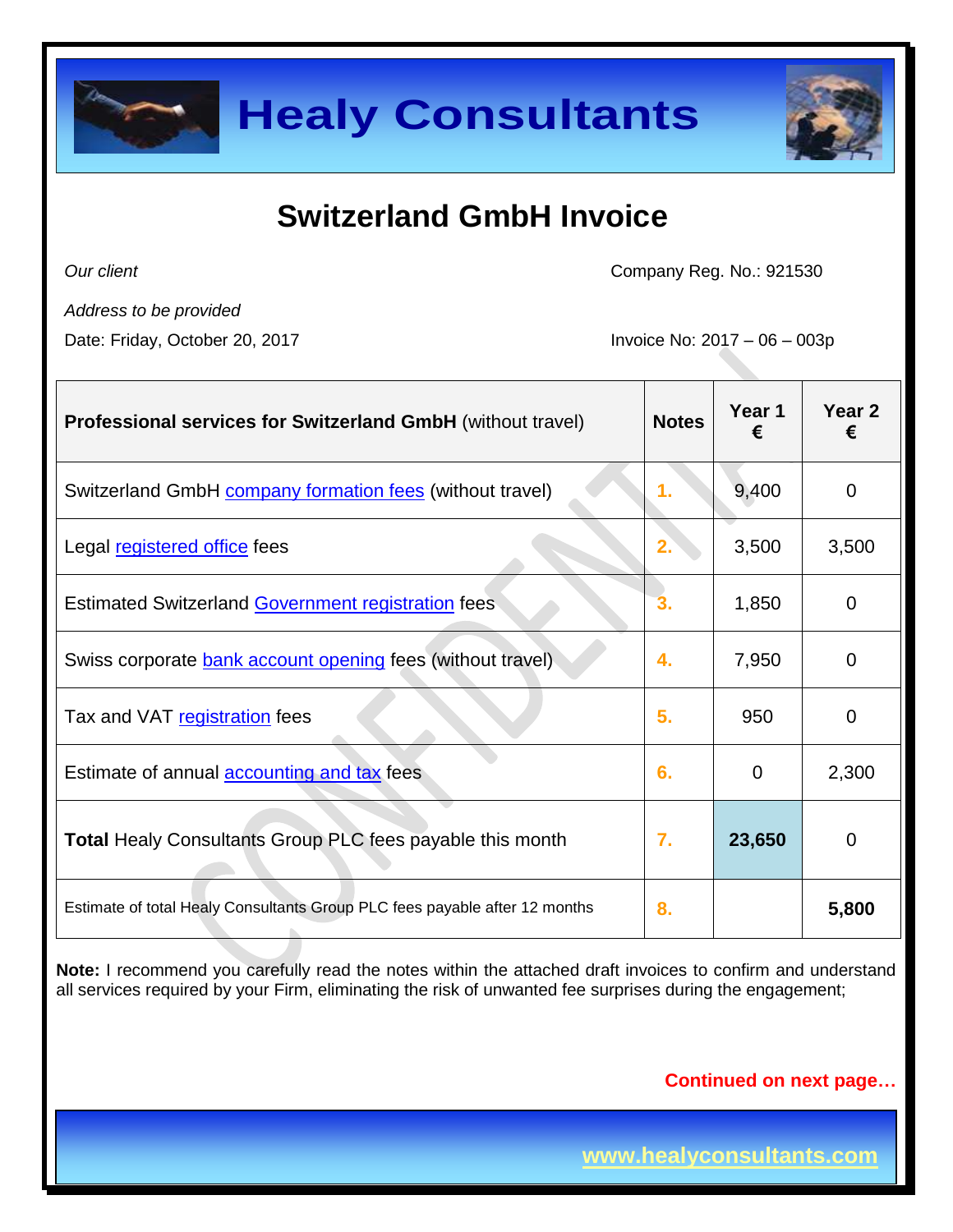

# **Switzerland GmbH Invoice**

*Our client*

Company Reg. No.: 921530

*Address to be provided*

Date: Friday, October 20, 2017 **Invoice No: 2017** - 06 – 003p

| <b>Professional services for Switzerland GmbH</b> (without travel)         | <b>Notes</b> | Year 1<br>€ | Year 2<br>€ |
|----------------------------------------------------------------------------|--------------|-------------|-------------|
| Switzerland GmbH <b>company formation fees</b> (without travel)            | 1.           | 9,400       | 0           |
| Legal registered office fees                                               | 2.           | 3,500       | 3,500       |
| Estimated Switzerland Government registration fees                         | 3.           | 1,850       | 0           |
| Swiss corporate bank account opening fees (without travel)                 | 4.           | 7,950       | 0           |
| Tax and VAT registration fees                                              | 5.           | 950         | 0           |
| Estimate of annual <b>accounting and tax</b> fees                          | 6.           | $\Omega$    | 2,300       |
| <b>Total Healy Consultants Group PLC fees payable this month</b>           | 7.           | 23,650      | 0           |
| Estimate of total Healy Consultants Group PLC fees payable after 12 months | 8.           |             | 5,800       |

**Note:** I recommend you carefully read the notes within the attached draft invoices to confirm and understand all services required by your Firm, eliminating the risk of unwanted fee surprises during the engagement;

#### **Continued on next page…**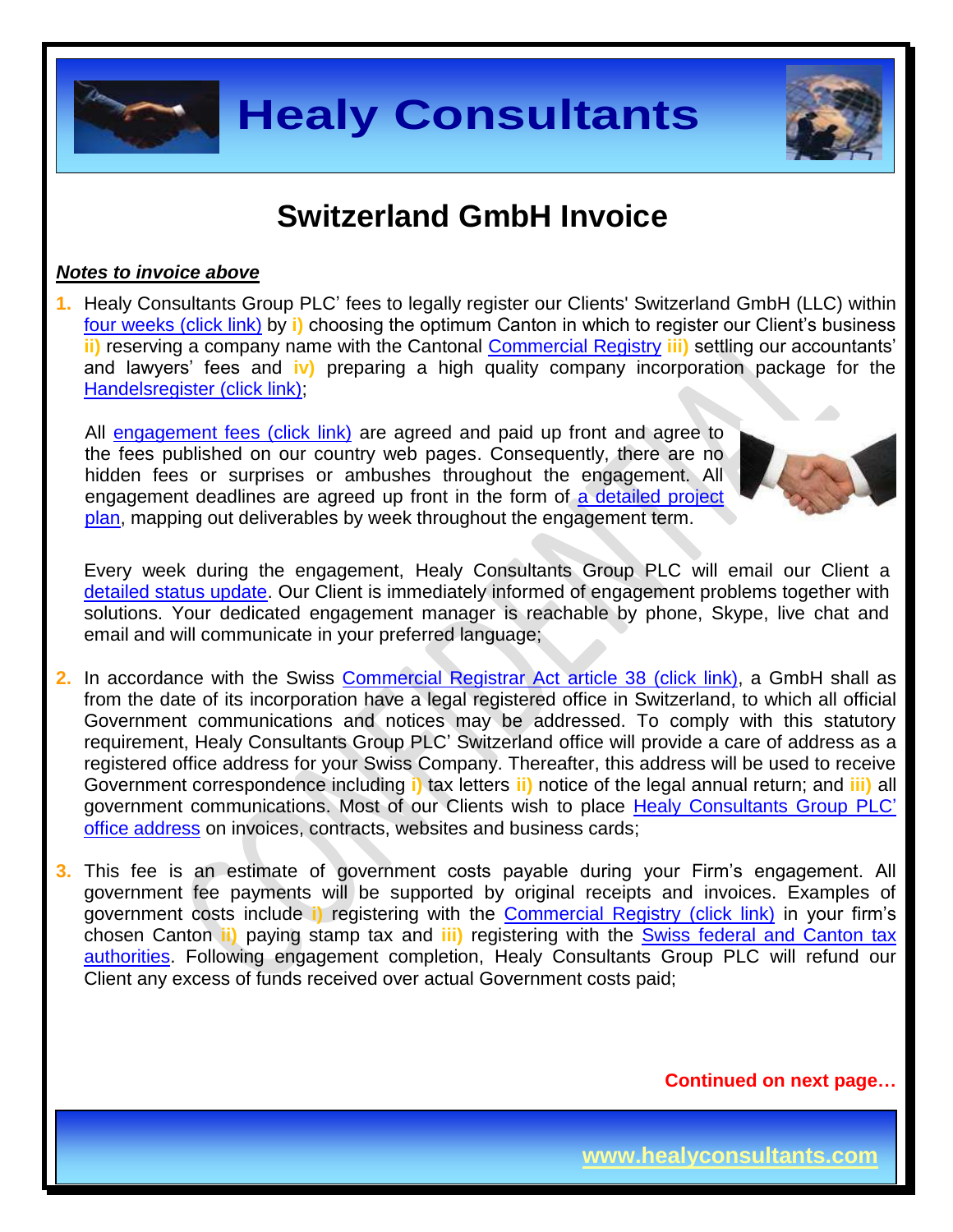

## **Switzerland GmbH Invoice**

#### *Notes to invoice above*

**1.** Healy Consultants Group PLC' fees to legally register our Clients' Switzerland GmbH (LLC) within four weeks [\(click link\)](http://www.healyconsultants.com/switzerland-company-registration/fees-timelines/#timelines) by **i)** choosing the optimum Canton in which to register our Client's business **ii)** reserving a company name with the Cantonal [Commercial Registry](http://zefix.admin.ch/zfx-cgi/hrform.cgi/hraPage?alle_eintr=on&pers_sort=original&pers_num=0&language=4&col_width=366&amt=007) **iii)** settling our accountants' and lawyers' fees and **iv)** preparing a high quality company incorporation package for the [Handelsregister \(click link\);](http://zefix.admin.ch/zfx-cgi/hrform.cgi/hraPage?alle_eintr=on&pers_sort=original&pers_num=0&language=4&col_width=366&amt=007)

All [engagement fees \(click link\)](http://www.healyconsultants.com/company-registration-fees/) are agreed and paid up front and agree to the fees published on our country web pages. Consequently, there are no hidden fees or surprises or ambushes throughout the engagement. All engagement deadlines are agreed up front in the form of a detailed project [plan,](http://www.healyconsultants.com/index-important-links/example-project-plan/) mapping out deliverables by week throughout the engagement term.



Every week during the engagement, Healy Consultants Group PLC will email our Client a [detailed status update.](http://www.healyconsultants.com/index-important-links/weekly-engagement-status-email/) Our Client is immediately informed of engagement problems together with solutions. Your dedicated engagement manager is reachable by phone, Skype, live chat and email and will communicate in your preferred language;

- **2.** In accordance with the Swiss [Commercial Registrar Act](http://www.pwc.ch/user_content/editor/files/publ_ass/pwc_rag08_201_274_orc_f.pdf) article 38 (click link), a GmbH shall as from the date of its incorporation have a legal registered office in Switzerland, to which all official Government communications and notices may be addressed. To comply with this statutory requirement, Healy Consultants Group PLC' Switzerland office will provide a care of address as a registered office address for your Swiss Company. Thereafter, this address will be used to receive Government correspondence including **i)** tax letters **ii)** notice of the legal annual return; and **iii)** all government communications. Most of our Clients wish to place [Healy Consultants Group PLC'](http://www.healyconsultants.com/corporate-outsourcing-services/company-secretary-and-legal-registered-office/) [office address](http://www.healyconsultants.com/corporate-outsourcing-services/company-secretary-and-legal-registered-office/) on invoices, contracts, websites and business cards;
- **3.** This fee is an estimate of government costs payable during your Firm's engagement. All government fee payments will be supported by original receipts and invoices. Examples of government costs include **i)** registering with the [Commercial Registry \(click link\)](http://www.zefix.ch/zfx-cgi/hrform.cgi/hraPage?alle_eintr=on&pers_sort=original&pers_num=0&language=2&col_width=366&amt=007) in your firm's chosen Canton **ii)** paying stamp tax and **iii)** registering with the Swiss [federal and Canton](http://www.estv.admin.ch/?lang=en) tax [authorities.](http://www.estv.admin.ch/?lang=en) Following engagement completion, Healy Consultants Group PLC will refund our Client any excess of funds received over actual Government costs paid;

**Continued on next page…**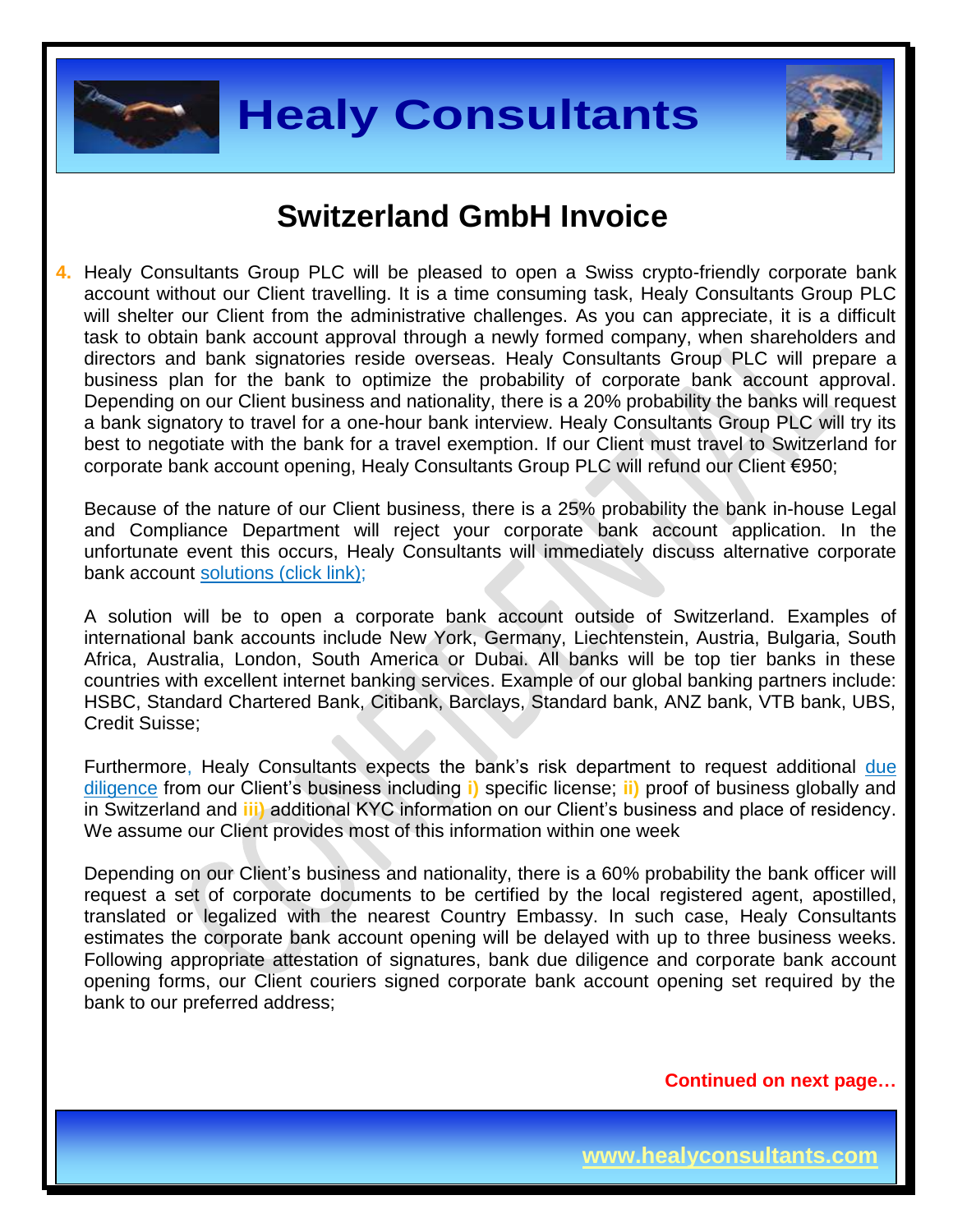



### **Switzerland GmbH Invoice**

**4.** Healy Consultants Group PLC will be pleased to open a Swiss crypto-friendly corporate bank account without our Client travelling. It is a time consuming task, Healy Consultants Group PLC will shelter our Client from the administrative challenges. As you can appreciate, it is a difficult task to obtain bank account approval through a newly formed company, when shareholders and directors and bank signatories reside overseas. Healy Consultants Group PLC will prepare a business plan for the bank to optimize the probability of corporate bank account approval. Depending on our Client business and nationality, there is a 20% probability the banks will request a bank signatory to travel for a one-hour bank interview. Healy Consultants Group PLC will try its best to negotiate with the bank for a travel exemption. If our Client must travel to Switzerland for corporate bank account opening, Healy Consultants Group PLC will refund our Client €950;

Because of the nature of our Client business, there is a 25% probability the bank in-house Legal and Compliance Department will reject your corporate bank account application. In the unfortunate event this occurs, Healy Consultants will immediately discuss alternative corporate bank account [solutions \(click link\);](http://www.healyconsultants.com/global-corporate-banking-for-resident-company/)

A solution will be to open a corporate bank account outside of Switzerland. Examples of international bank accounts include New York, Germany, Liechtenstein, Austria, Bulgaria, South Africa, Australia, London, South America or Dubai. All banks will be top tier banks in these countries with excellent internet banking services. Example of our global banking partners include: HSBC, Standard Chartered Bank, Citibank, Barclays, Standard bank, ANZ bank, VTB bank, UBS, Credit Suisse;

Furthermore, Healy Consultants expects the bank's risk department to request additional [due](http://www.healyconsultants.com/due-diligence/)  [diligence](http://www.healyconsultants.com/due-diligence/) from our Client's business including **i)** specific license; **ii)** proof of business globally and in Switzerland and **iii)** additional KYC information on our Client's business and place of residency. We assume our Client provides most of this information within one week

Depending on our Client's business and nationality, there is a 60% probability the bank officer will request a set of corporate documents to be certified by the local registered agent, apostilled, translated or legalized with the nearest Country Embassy. In such case, Healy Consultants estimates the corporate bank account opening will be delayed with up to three business weeks. Following appropriate attestation of signatures, bank due diligence and corporate bank account opening forms, our Client couriers signed corporate bank account opening set required by the bank to our preferred address;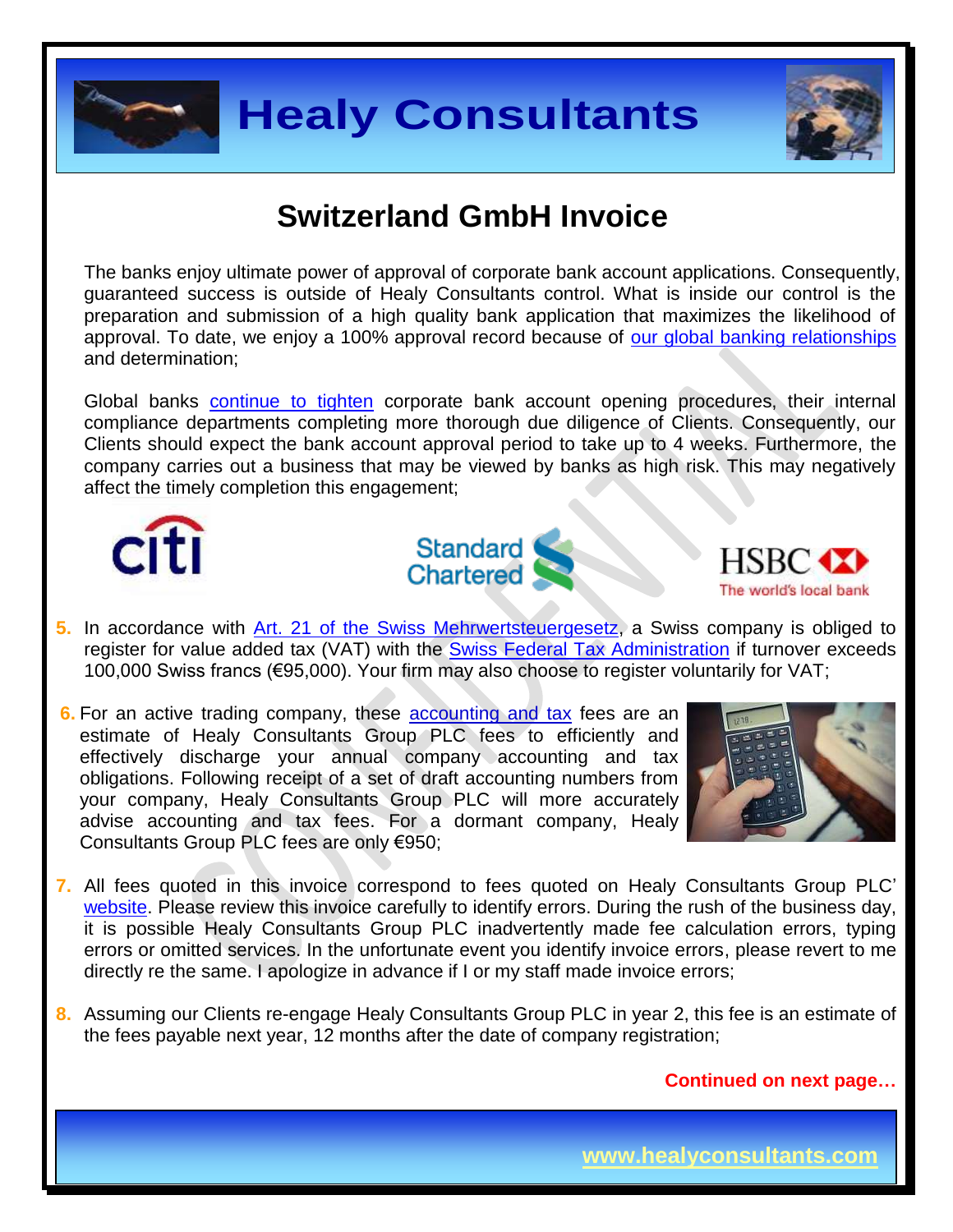



# **Switzerland GmbH Invoice**

The banks enjoy ultimate power of approval of corporate bank account applications. Consequently, guaranteed success is outside of Healy Consultants control. What is inside our control is the preparation and submission of a high quality bank application that maximizes the likelihood of approval. To date, we enjoy a 100% approval record because of [our global banking relationships](http://www.healyconsultants.com/international-banking/corporate-accounts/) and determination;

Global banks [continue to tighten](http://www.healyconsultants.com/international-banking/opening-corporate-bank-accounts/) corporate bank account opening procedures, their internal compliance departments completing more thorough due diligence of Clients. Consequently, our Clients should expect the bank account approval period to take up to 4 weeks. Furthermore, the company carries out a business that may be viewed by banks as high risk. This may negatively affect the timely completion this engagement;







- **5.** In accordance with [Art. 21 of the Swiss Mehrwertsteuergesetz,](http://www.admin.ch/opc/de/classified-compilation/20081110/index.html) a Swiss company is obliged to register for value added tax (VAT) with the **[Swiss Federal Tax Administration](http://www.estv.admin.ch/?lang=en)** if turnover exceeds 100,000 Swiss francs (€95,000). Your firm may also choose to register voluntarily for VAT;
- **6.** For an active trading company, these [accounting and tax](http://www.healyconsultants.com/switzerland-company-registration/accounting-legal/) fees are an estimate of Healy Consultants Group PLC fees to efficiently and effectively discharge your annual company accounting and tax obligations. Following receipt of a set of draft accounting numbers from your company, Healy Consultants Group PLC will more accurately advise accounting and tax fees. For a dormant company, Healy Consultants Group PLC fees are only €950;



- **7.** All fees quoted in this invoice correspond to fees quoted on Healy Consultants Group PLC' [website.](http://www.healyconsultants.com/company-registration-fees/) Please review this invoice carefully to identify errors. During the rush of the business day, it is possible Healy Consultants Group PLC inadvertently made fee calculation errors, typing errors or omitted services. In the unfortunate event you identify invoice errors, please revert to me directly re the same. I apologize in advance if I or my staff made invoice errors;
- **8.** Assuming our Clients re-engage Healy Consultants Group PLC in year 2, this fee is an estimate of the fees payable next year, 12 months after the date of company registration;

**Continued on next page…**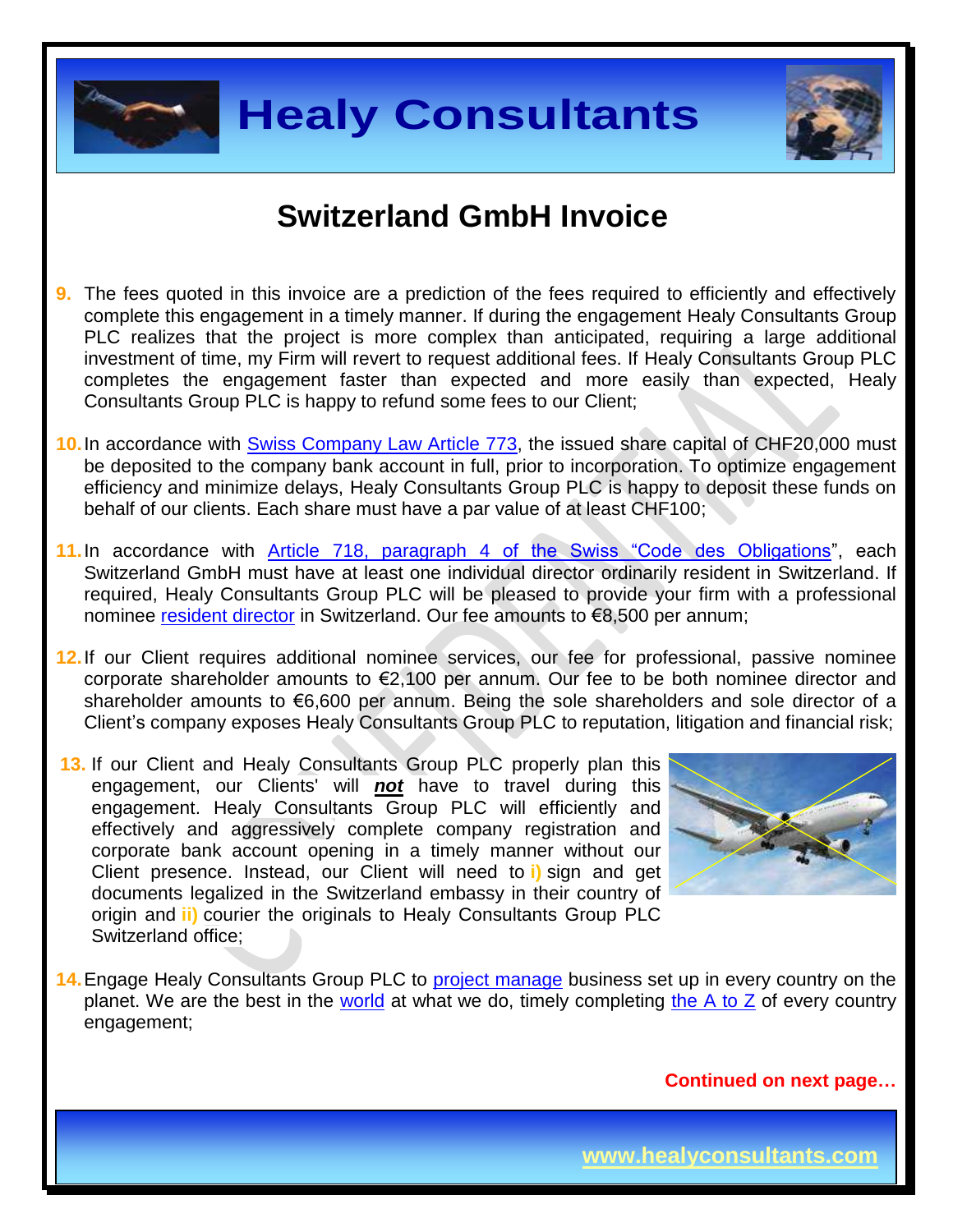



### **Switzerland GmbH Invoice**

- **9.** The fees quoted in this invoice are a prediction of the fees required to efficiently and effectively complete this engagement in a timely manner. If during the engagement Healy Consultants Group PLC realizes that the project is more complex than anticipated, requiring a large additional investment of time, my Firm will revert to request additional fees. If Healy Consultants Group PLC completes the engagement faster than expected and more easily than expected, Healy Consultants Group PLC is happy to refund some fees to our Client;
- **10.**In accordance with [Swiss Company Law Article 773,](https://www.admin.ch/opc/fr/classified-compilation/19110009/201401010000/220.pdf) the issued share capital of CHF20,000 must be deposited to the company bank account in full, prior to incorporation. To optimize engagement efficiency and minimize delays, Healy Consultants Group PLC is happy to deposit these funds on behalf of our clients. Each share must have a par value of at least CHF100;
- **11.**In accordance with Article 718, paragraph 4 [of the Swiss "Code des Obligations"](https://www.admin.ch/opc/en/classified-compilation/19110009/index.html), each Switzerland GmbH must have at least one individual director ordinarily resident in Switzerland. If required, Healy Consultants Group PLC will be pleased to provide your firm with a professional nominee [resident director](http://www.healyconsultants.com/resident-director-services/) in Switzerland. Our fee amounts to €8,500 per annum;
- **12.**If our Client requires additional nominee services, our fee for professional, passive nominee corporate shareholder amounts to €2,100 per annum. Our fee to be both nominee director and shareholder amounts to €6,600 per annum. Being the sole shareholders and sole director of a Client's company exposes Healy Consultants Group PLC to reputation, litigation and financial risk;
- **13.** If our Client and Healy Consultants Group PLC properly plan this engagement, our Clients' will *not* have to travel during this engagement. Healy Consultants Group PLC will efficiently and effectively and aggressively complete company registration and corporate bank account opening in a timely manner without our Client presence. Instead, our Client will need to **i)** sign and get documents legalized in the Switzerland embassy in their country of origin and **ii)** courier the originals to Healy Consultants Group PLC Switzerland office;



**14.**Engage Healy Consultants Group PLC to [project manage](http://www.healyconsultants.com/project-manage-engagements/) business set up in every country on the planet. We are the best in the [world](http://www.healyconsultants.com/best-in-the-world/) at what we do, timely completing the  $A$  to  $Z$  of every country engagement;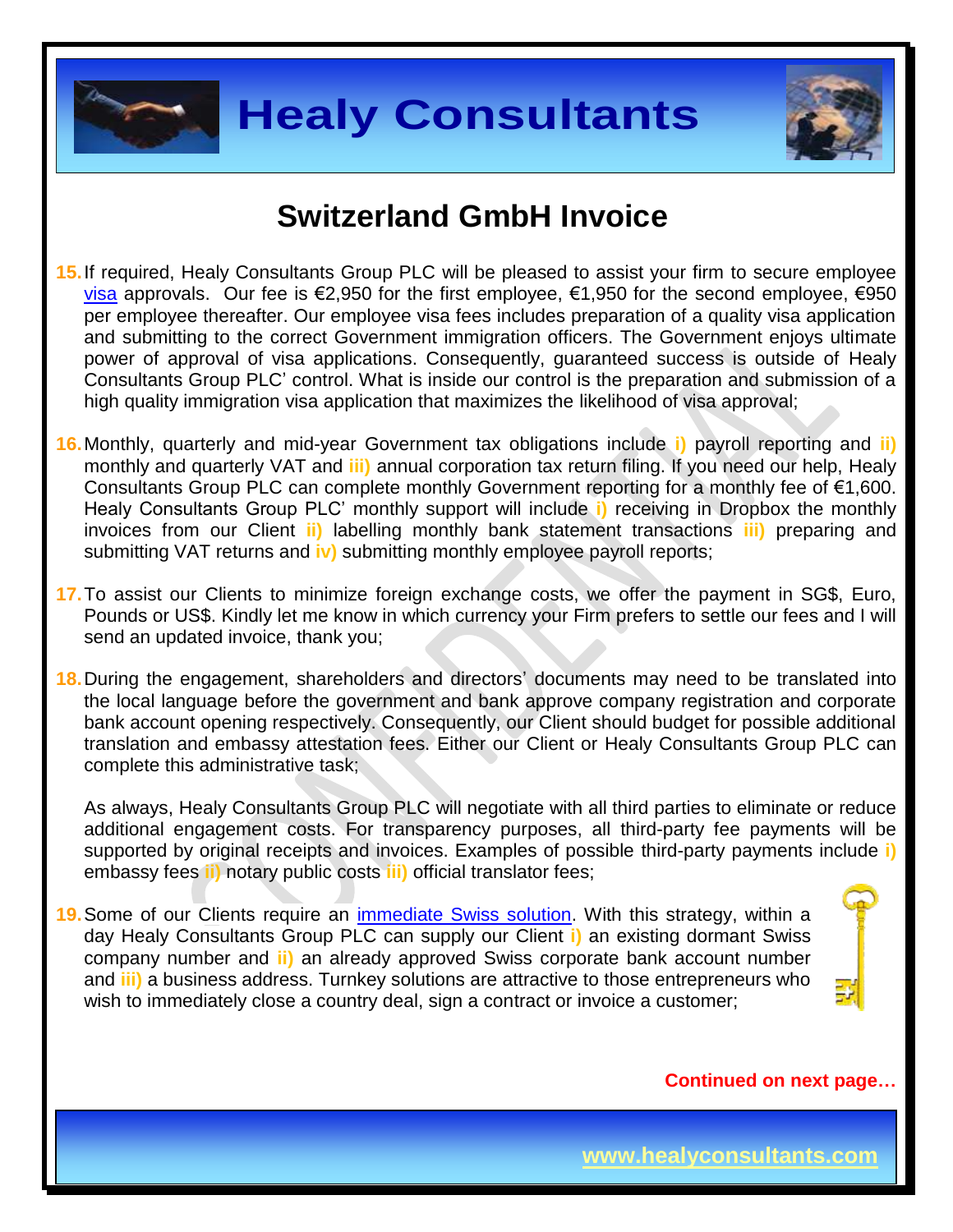



### **Switzerland GmbH Invoice**

- **15.**If required, Healy Consultants Group PLC will be pleased to assist your firm to secure employee [visa](http://www.healyconsultants.com/switzerland-company-registration/formation-support-services/) approvals. Our fee is €2,950 for the first employee, €1,950 for the second employee, €950 per employee thereafter. Our employee visa fees includes preparation of a quality visa application and submitting to the correct Government immigration officers. The Government enjoys ultimate power of approval of visa applications. Consequently, guaranteed success is outside of Healy Consultants Group PLC' control. What is inside our control is the preparation and submission of a high quality immigration visa application that maximizes the likelihood of visa approval;
- **16.**Monthly, quarterly and mid-year Government tax obligations include **i)** payroll reporting and **ii)** monthly and quarterly VAT and **iii)** annual corporation tax return filing. If you need our help, Healy Consultants Group PLC can complete monthly Government reporting for a monthly fee of €1,600. Healy Consultants Group PLC' monthly support will include **i)** receiving in Dropbox the monthly invoices from our Client **ii)** labelling monthly bank statement transactions **iii)** preparing and submitting VAT returns and **iv)** submitting monthly employee payroll reports;
- **17.**To assist our Clients to minimize foreign exchange costs, we offer the payment in SG\$, Euro, Pounds or US\$. Kindly let me know in which currency your Firm prefers to settle our fees and I will send an updated invoice, thank you;
- **18.**During the engagement, shareholders and directors' documents may need to be translated into the local language before the government and bank approve company registration and corporate bank account opening respectively. Consequently, our Client should budget for possible additional translation and embassy attestation fees. Either our Client or Healy Consultants Group PLC can complete this administrative task;

As always, Healy Consultants Group PLC will negotiate with all third parties to eliminate or reduce additional engagement costs. For transparency purposes, all third-party fee payments will be supported by original receipts and invoices. Examples of possible third-party payments include **i)** embassy fees **ii)** notary public costs **iii)** official translator fees;

**19.**Some of our Clients require an [immediate Swiss](http://www.healyconsultants.com/turnkey-solutions/) solution. With this strategy, within a day Healy Consultants Group PLC can supply our Client **i)** an existing dormant Swiss company number and **ii)** an already approved Swiss corporate bank account number and **iii)** a business address. Turnkey solutions are attractive to those entrepreneurs who wish to immediately close a country deal, sign a contract or invoice a customer;

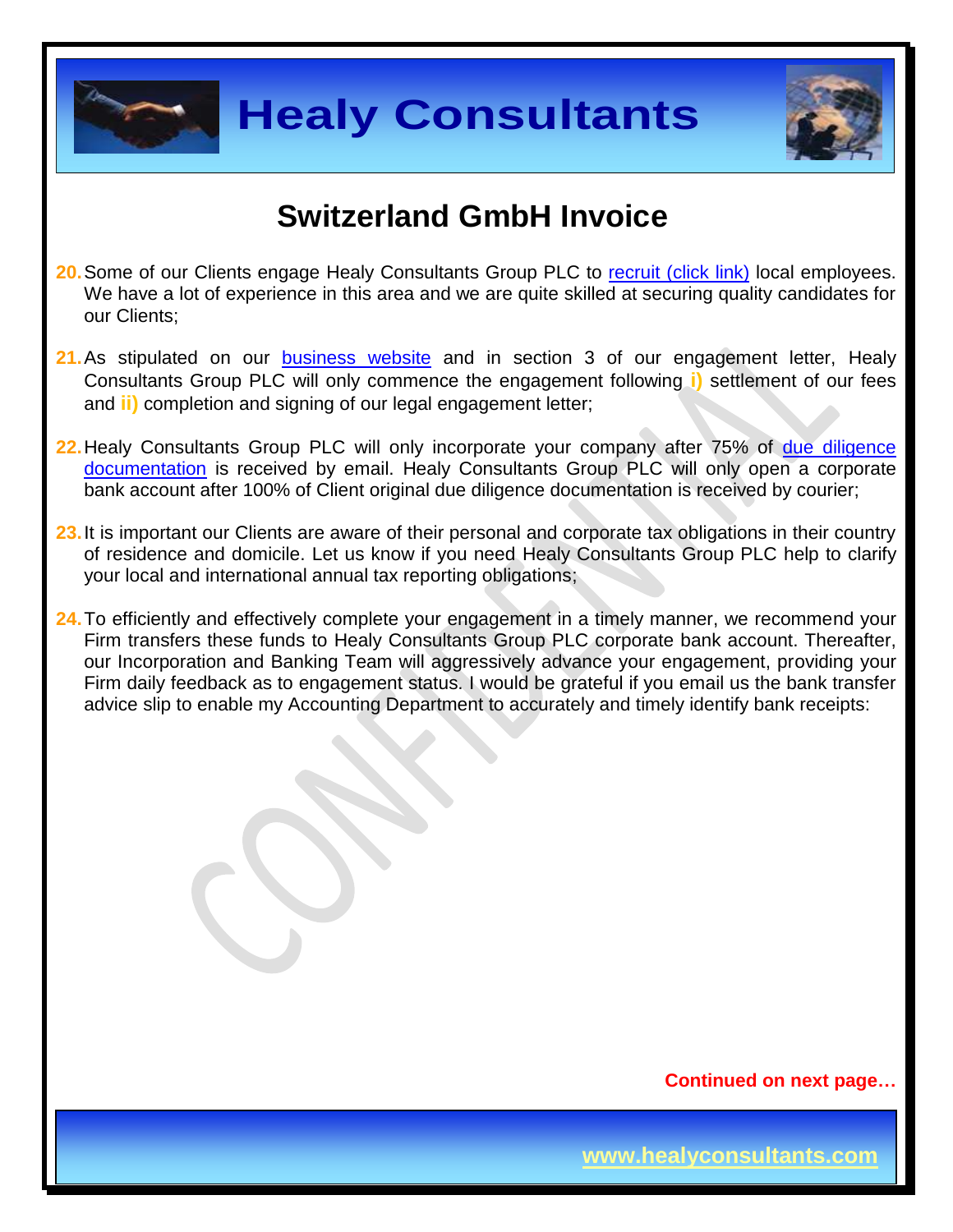



## **Switzerland GmbH Invoice**

- **20.** Some of our Clients engage Healy Consultants Group PLC to [recruit \(click link\)](http://www.healyconsultants.com/corporate-outsourcing-services/how-we-help-our-clients-recruit-quality-employees/) local employees. We have a lot of experience in this area and we are quite skilled at securing quality candidates for our Clients;
- 21. As stipulated on our [business website](http://www.healyconsultants.com/) and in section 3 of our engagement letter, Healy Consultants Group PLC will only commence the engagement following **i)** settlement of our fees and **ii)** completion and signing of our legal engagement letter;
- **22.**Healy Consultants Group PLC will only incorporate your company after 75% of [due diligence](http://www.healyconsultants.com/due-diligence/)  [documentation](http://www.healyconsultants.com/due-diligence/) is received by email. Healy Consultants Group PLC will only open a corporate bank account after 100% of Client original due diligence documentation is received by courier;
- 23. It is important our Clients are aware of their personal and corporate tax obligations in their country of residence and domicile. Let us know if you need Healy Consultants Group PLC help to clarify your local and international annual tax reporting obligations;
- **24.**To efficiently and effectively complete your engagement in a timely manner, we recommend your Firm transfers these funds to Healy Consultants Group PLC corporate bank account. Thereafter, our Incorporation and Banking Team will aggressively advance your engagement, providing your Firm daily feedback as to engagement status. I would be grateful if you email us the bank transfer advice slip to enable my Accounting Department to accurately and timely identify bank receipts: